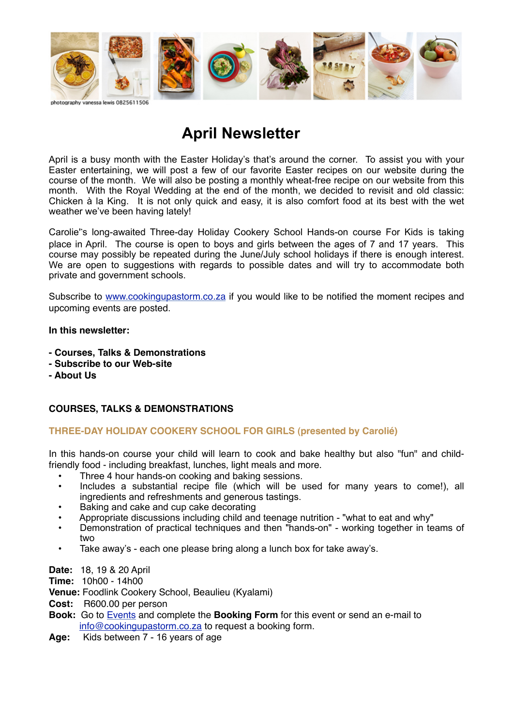

# **April Newsletter**

April is a busy month with the Easter Holiday's that's around the corner. To assist you with your Easter entertaining, we will post a few of our favorite Easter recipes on our website during the course of the month. We will also be posting a monthly wheat-free recipe on our website from this month. With the Royal Wedding at the end of the month, we decided to revisit and old classic: Chicken à la King. It is not only quick and easy, it is also comfort food at its best with the wet weather we've been having lately!

Carolie's long-awaited Three-day Holiday Cookery School Hands-on course For Kids is taking place in April. The course is open to boys and girls between the ages of 7 and 17 years. This course may possibly be repeated during the June/July school holidays if there is enough interest. We are open to suggestions with regards to possible dates and will try to accommodate both private and government schools.

Subscribe to [www.cookingupastorm.co.za](http://ethreemail.com/e3ds/mail_link.php?u=http%3A%2F%2Fethreemail.com%2Fe3ds%2Fmail_link.php%3Fu%3Dhttp%253A%252F%252Fcookingupastorm.co.za%26i%3D1%26d%3DX713UVX9-W020-4WV9-95Y8-UVU1XU922Y3Z%26e%3Danton%40lifequest.co.za&i=3&d=W08W4Z9X-XY15-43V7-87Y8-1W60Y4362VU0&e=jeanriverster@gmail.com) if you would like to be notified the moment recipes and upcoming events are posted.

#### **In this newsletter:**

- **Courses, Talks & Demonstrations**
- **Subscribe to our Web-site**
- **About Us**

# **COURSES, TALKS & DEMONSTRATIONS**

# **THREE-DAY HOLIDAY COOKERY SCHOOL FOR GIRLS (presented by Carolié)**

In this hands-on course your child will learn to cook and bake healthy but also "fun" and childfriendly food - including breakfast, lunches, light meals and more.

- Three 4 hour hands-on cooking and baking sessions.
- Includes a substantial recipe file (which will be used for many years to come!), all ingredients and refreshments and generous tastings.
- Baking and cake and cup cake decorating
- Appropriate discussions including child and teenage nutrition "what to eat and why"
- Demonstration of practical techniques and then "hands-on" working together in teams of two
- Take away's each one please bring along a lunch box for take away's.

**Date:** 18, 19 & 20 April

**Time:**  10h00 - 14h00

**Venue:** Foodlink Cookery School, Beaulieu (Kyalami)

**Cost:** R600.00 per person

- **Book:** Go to [Events](http://ethreemail.com/e3ds/mail_link.php?u=http%3A%2F%2Fethreemail.com%2Fe3ds%2Fmail_link.php%3Fu%3Dhttp%253A%252F%252Fethreemail.com%252Fe3ds%252Fmail_link.php%253Fu%253Dhttp%25253A%25252F%25252Fcookingupastorm.co.za%25252Fevents%25252F%2526i%253D0%2526d%253DX713UVX9-W020-4WV9-95Y8-UVU1XU922Y3Z%2526e%253Danton%2540lifequest.co.za%26i%3D2%26d%3DW08W4Z9X-XY15-43V7-87Y8-1W60Y4362VU0%26e%3Djeanriverster%40gmail.com&i=1&d=432Z6244-Y512-431W-87VW-W2504UY22WU6&e=jeanriverster@gmail.com) and complete the **Booking Form** for this event or send an e-mail to [info@cookingupastorm.co.za](mailto:info@cookingupastorm.co.za) to request a booking form.
- **Age:** Kids between 7 16 years of age